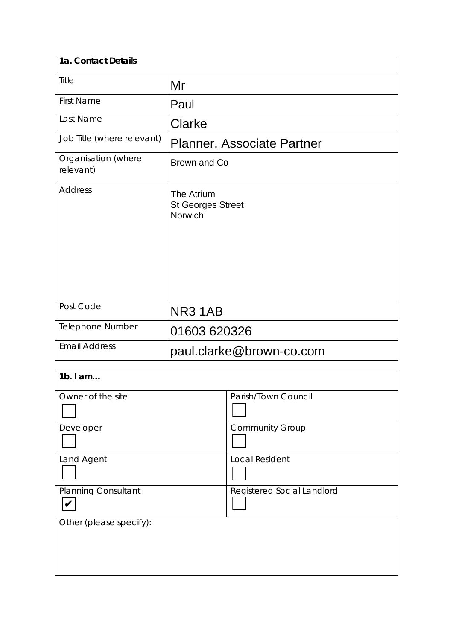| 1a. Contact Details              |                                                   |  |
|----------------------------------|---------------------------------------------------|--|
| Title                            | Mr                                                |  |
| <b>First Name</b>                | Paul                                              |  |
| Last Name                        | Clarke                                            |  |
| Job Title (where relevant)       | <b>Planner, Associate Partner</b>                 |  |
| Organisation (where<br>relevant) | Brown and Co                                      |  |
| <b>Address</b>                   | The Atrium<br><b>St Georges Street</b><br>Norwich |  |
| Post Code                        | NR31AB                                            |  |
| Telephone Number                 | 01603 620326                                      |  |
| <b>Email Address</b>             | paul.clarke@brown-co.com                          |  |

| $1b.$ I am                 |                            |
|----------------------------|----------------------------|
| Owner of the site          | Parish/Town Council        |
|                            |                            |
| Developer                  | <b>Community Group</b>     |
|                            |                            |
| Land Agent                 | <b>Local Resident</b>      |
|                            |                            |
| <b>Planning Consultant</b> | Registered Social Landlord |
|                            |                            |
| Other (please specify):    |                            |
|                            |                            |
|                            |                            |
|                            |                            |
|                            |                            |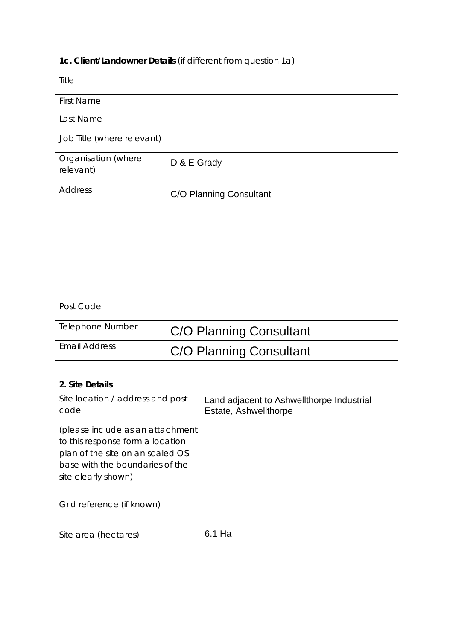| 1c. Client/Landowner Details (if different from question 1a) |                                |  |
|--------------------------------------------------------------|--------------------------------|--|
| Title                                                        |                                |  |
| <b>First Name</b>                                            |                                |  |
| Last Name                                                    |                                |  |
| Job Title (where relevant)                                   |                                |  |
| Organisation (where<br>relevant)                             | D & E Grady                    |  |
| <b>Address</b>                                               | C/O Planning Consultant        |  |
| Post Code                                                    |                                |  |
| <b>Telephone Number</b>                                      | <b>C/O Planning Consultant</b> |  |
| <b>Email Address</b>                                         | C/O Planning Consultant        |  |

| 2. Site Details                                                                                                                                                    |                                                                    |
|--------------------------------------------------------------------------------------------------------------------------------------------------------------------|--------------------------------------------------------------------|
| Site location / address and post<br>code                                                                                                                           | Land adjacent to Ashwellthorpe Industrial<br>Estate, Ashwellthorpe |
| (please include as an attachment<br>to this response form a location<br>plan of the site on an scaled OS<br>base with the boundaries of the<br>site clearly shown) |                                                                    |
| Grid reference (if known)                                                                                                                                          |                                                                    |
| Site area (hectares)                                                                                                                                               | 6.1 Ha                                                             |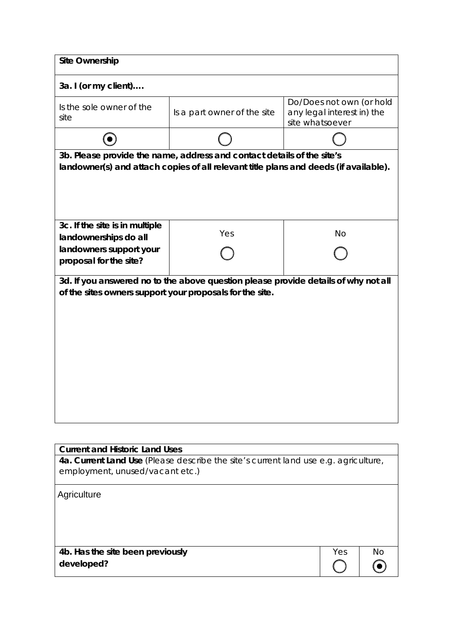| <b>Site Ownership</b>                                                                                                                                          |                                                                                     |                                                                           |
|----------------------------------------------------------------------------------------------------------------------------------------------------------------|-------------------------------------------------------------------------------------|---------------------------------------------------------------------------|
| 3a. I (or my client)                                                                                                                                           |                                                                                     |                                                                           |
| Is the sole owner of the<br>site                                                                                                                               | Is a part owner of the site                                                         | Do/Does not own (or hold<br>any legal interest in) the<br>site whatsoever |
|                                                                                                                                                                |                                                                                     |                                                                           |
| 3b. Please provide the name, address and contact details of the site's<br>landowner(s) and attach copies of all relevant title plans and deeds (if available). |                                                                                     |                                                                           |
| 3c. If the site is in multiple<br>landownerships do all<br>landowners support your<br>proposal for the site?                                                   | Yes                                                                                 | No                                                                        |
| 3d. If you answered no to the above question please provide details of why not all<br>of the sites owners support your proposals for the site.                 |                                                                                     |                                                                           |
|                                                                                                                                                                |                                                                                     |                                                                           |
| <b>Current and Historic Land Uses</b><br>employment, unused/vacant etc.)                                                                                       | 4a. Current Land Use (Please describe the site's current land use e.g. agriculture, |                                                                           |
| Agriculture                                                                                                                                                    |                                                                                     |                                                                           |

**4b. Has the site been previously developed?**

| Yes | No |
|-----|----|
|     |    |
|     |    |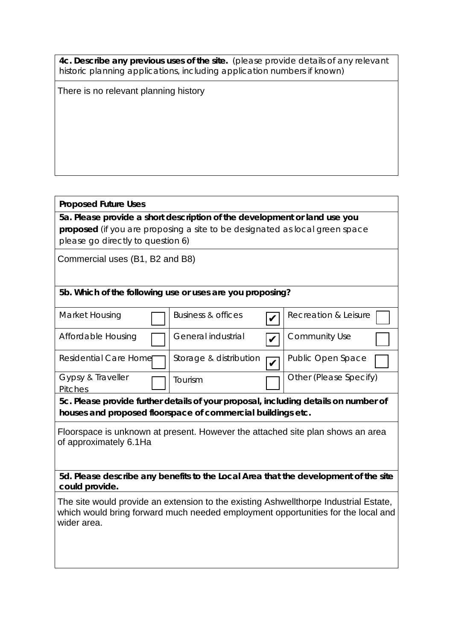**4c. Describe any previous uses of the site.** (please provide details of any relevant historic planning applications, including application numbers if known)

There is no relevant planning history

### **Proposed Future Uses**

**5a. Please provide a short description of the development or land use you proposed** (if you are proposing a site to be designated as local green space please go directly to question 6)

Commercial uses (B1, B2 and B8)

### **5b. Which of the following use or uses are you proposing?**

| Market Housing               | <b>Business &amp; offices</b> | Recreation & Leisure   |
|------------------------------|-------------------------------|------------------------|
| Affordable Housing           | General industrial            | <b>Community Use</b>   |
| Residential Care Home        | Storage & distribution        | Public Open Space      |
| Gypsy & Traveller<br>Pitches | .<br>Tourism                  | Other (Please Specify) |

**5c. Please provide further details of your proposal, including details on number of houses and proposed floorspace of commercial buildings etc.** 

Floorspace is unknown at present. However the attached site plan shows an area of approximately 6.1Ha

**5d. Please describe any benefits to the Local Area that the development of the site could provide.**

The site would provide an extension to the existing Ashwellthorpe Industrial Estate, which would bring forward much needed employment opportunities for the local and wider area.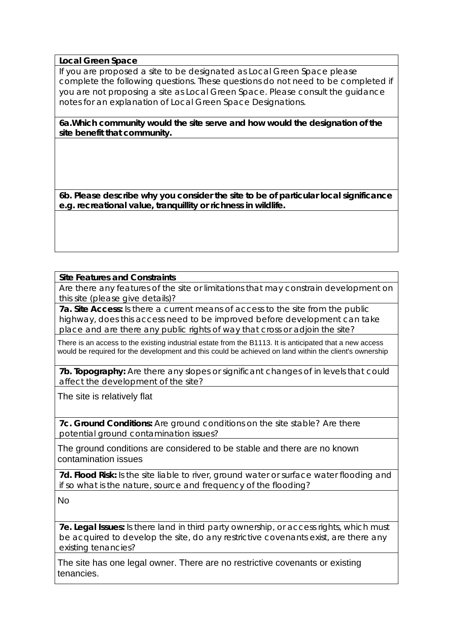#### **Local Green Space**

If you are proposed a site to be designated as Local Green Space please complete the following questions. These questions do not need to be completed if you are not proposing a site as Local Green Space. Please consult the guidance notes for an explanation of Local Green Space Designations.

**6a.Which community would the site serve and how would the designation of the site benefit that community.** 

**6b. Please describe why you consider the site to be of particular local significance e.g. recreational value, tranquillity or richness in wildlife.**

### **Site Features and Constraints**

Are there any features of the site or limitations that may constrain development on this site (please give details)?

**7a. Site Access:** Is there a current means of access to the site from the public highway, does this access need to be improved before development can take place and are there any public rights of way that cross or adjoin the site?

There is an access to the existing industrial estate from the B1113. It is anticipated that a new access would be required for the development and this could be achieved on land within the client's ownership

**7b. Topography:** Are there any slopes or significant changes of in levels that could affect the development of the site?

The site is relatively flat

**7c. Ground Conditions:** Are ground conditions on the site stable? Are there potential ground contamination issues?

The ground conditions are considered to be stable and there are no known contamination issues

**7d. Flood Risk:** Is the site liable to river, ground water or surface water flooding and if so what is the nature, source and frequency of the flooding?

No

**7e. Legal Issues:** Is there land in third party ownership, or access rights, which must be acquired to develop the site, do any restrictive covenants exist, are there any existing tenancies?

The site has one legal owner. There are no restrictive covenants or existing tenancies.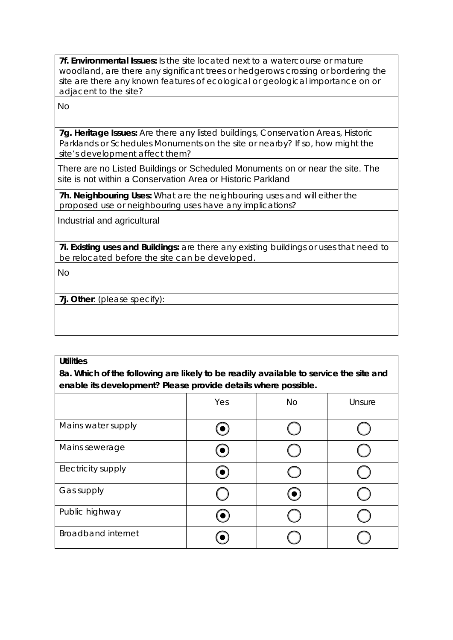**7f. Environmental Issues:** Is the site located next to a watercourse or mature woodland, are there any significant trees or hedgerows crossing or bordering the site are there any known features of ecological or geological importance on or adjacent to the site?

No

**7g. Heritage Issues:** Are there any listed buildings, Conservation Areas, Historic Parklands or Schedules Monuments on the site or nearby? If so, how might the site's development affect them?

There are no Listed Buildings or Scheduled Monuments on or near the site. The site is not within a Conservation Area or Historic Parkland

**7h. Neighbouring Uses:** What are the neighbouring uses and will either the proposed use or neighbouring uses have any implications?

Industrial and agricultural

**7i. Existing uses and Buildings:** are there any existing buildings or uses that need to be relocated before the site can be developed.

No

**7j. Other**: (please specify):

| <b>Utilities</b>                                                                      |  |  |  |  |
|---------------------------------------------------------------------------------------|--|--|--|--|
| 8a. Which of the following are likely to be readily available to service the site and |  |  |  |  |
| enable its development? Please provide details where possible.                        |  |  |  |  |
| Yes<br>No.<br>Unsure                                                                  |  |  |  |  |
| $\blacksquare$                                                                        |  |  |  |  |

| Mains water supply        |           |            |  |
|---------------------------|-----------|------------|--|
| Mains sewerage            |           |            |  |
| Electricity supply        | $\bullet$ |            |  |
| Gas supply                |           | $\bullet)$ |  |
| Public highway            |           |            |  |
| <b>Broadband internet</b> |           |            |  |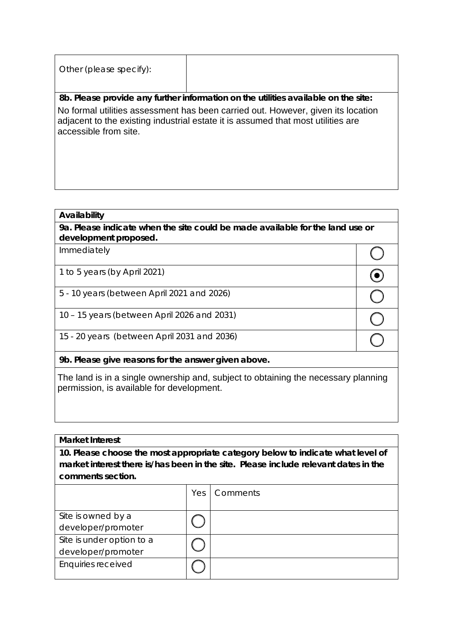| Other (please specify):                                                                                                                                                                       |                                                                                    |
|-----------------------------------------------------------------------------------------------------------------------------------------------------------------------------------------------|------------------------------------------------------------------------------------|
|                                                                                                                                                                                               | 8b. Please provide any further information on the utilities available on the site: |
| No formal utilities assessment has been carried out. However, given its location<br>adjacent to the existing industrial estate it is assumed that most utilities are<br>accessible from site. |                                                                                    |
|                                                                                                                                                                                               |                                                                                    |
|                                                                                                                                                                                               |                                                                                    |
|                                                                                                                                                                                               |                                                                                    |

#### **Availability**

# **Market Interest**

| No formal utilities assessment has been carried out. However, given its location<br>adjacent to the existing industrial estate it is assumed that most utilities are<br>accessible from site. |     |                                                                                     |             |
|-----------------------------------------------------------------------------------------------------------------------------------------------------------------------------------------------|-----|-------------------------------------------------------------------------------------|-------------|
|                                                                                                                                                                                               |     |                                                                                     |             |
|                                                                                                                                                                                               |     |                                                                                     |             |
| Availability                                                                                                                                                                                  |     | 9a. Please indicate when the site could be made available for the land use or       |             |
| development proposed.                                                                                                                                                                         |     |                                                                                     |             |
| Immediately                                                                                                                                                                                   |     |                                                                                     |             |
| 1 to 5 years (by April 2021)                                                                                                                                                                  |     |                                                                                     | $\bf \odot$ |
| 5 - 10 years (between April 2021 and 2026)                                                                                                                                                    |     |                                                                                     |             |
| 10 - 15 years (between April 2026 and 2031)                                                                                                                                                   |     |                                                                                     |             |
| 15 - 20 years (between April 2031 and 2036)                                                                                                                                                   |     |                                                                                     |             |
| 9b. Please give reasons for the answer given above.                                                                                                                                           |     |                                                                                     |             |
| permission, is available for development.                                                                                                                                                     |     | The land is in a single ownership and, subject to obtaining the necessary planning  |             |
| <b>Market Interest</b>                                                                                                                                                                        |     |                                                                                     |             |
|                                                                                                                                                                                               |     | 10. Please choose the most appropriate category below to indicate what level of     |             |
| comments section.                                                                                                                                                                             |     | market interest there is/has been in the site. Please include relevant dates in the |             |
|                                                                                                                                                                                               | Yes | Comments                                                                            |             |
| Site is owned by a<br>developer/promoter                                                                                                                                                      |     |                                                                                     |             |
| Site is under option to a<br>developer/promoter                                                                                                                                               |     |                                                                                     |             |
| <b>Enquiries received</b>                                                                                                                                                                     |     |                                                                                     |             |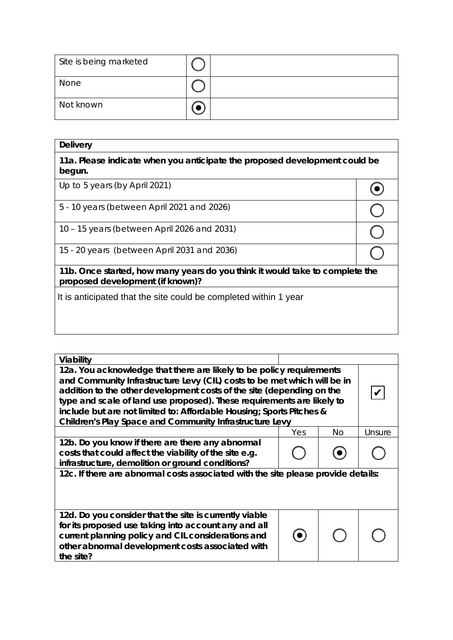| Site is being marketed |  |
|------------------------|--|
| None                   |  |
| Not known              |  |

| <b>Delivery</b>                                                                                                  |  |  |  |
|------------------------------------------------------------------------------------------------------------------|--|--|--|
| 11a. Please indicate when you anticipate the proposed development could be<br>begun.                             |  |  |  |
| Up to 5 years (by April 2021)                                                                                    |  |  |  |
| 5 - 10 years (between April 2021 and 2026)                                                                       |  |  |  |
| 10 – 15 years (between April 2026 and 2031)                                                                      |  |  |  |
| 15 - 20 years (between April 2031 and 2036)                                                                      |  |  |  |
| 11b. Once started, how many years do you think it would take to complete the<br>proposed development (if known)? |  |  |  |
| It is anticipated that the site could be completed within 1 year                                                 |  |  |  |
|                                                                                                                  |  |  |  |

| Viability                                                                                                                                                                                                                                                                                                                                                                                                                                     |     |     |        |  |
|-----------------------------------------------------------------------------------------------------------------------------------------------------------------------------------------------------------------------------------------------------------------------------------------------------------------------------------------------------------------------------------------------------------------------------------------------|-----|-----|--------|--|
| 12a. You acknowledge that there are likely to be policy requirements<br>and Community Infrastructure Levy (CIL) costs to be met which will be in<br>addition to the other development costs of the site (depending on the<br>type and scale of land use proposed). These requirements are likely to<br>include but are not limited to: Affordable Housing; Sports Pitches &<br><b>Children's Play Space and Community Infrastructure Levy</b> |     |     |        |  |
|                                                                                                                                                                                                                                                                                                                                                                                                                                               | Yes | No. | Unsure |  |
| 12b. Do you know if there are there any abnormal<br>costs that could affect the viability of the site e.g.<br>infrastructure, demolition or ground conditions?                                                                                                                                                                                                                                                                                |     |     |        |  |
| 12c. If there are abnormal costs associated with the site please provide details:                                                                                                                                                                                                                                                                                                                                                             |     |     |        |  |
| 12d. Do you consider that the site is currently viable<br>for its proposed use taking into account any and all<br>current planning policy and CIL considerations and<br>other abnormal development costs associated with<br>the site?                                                                                                                                                                                                         |     |     |        |  |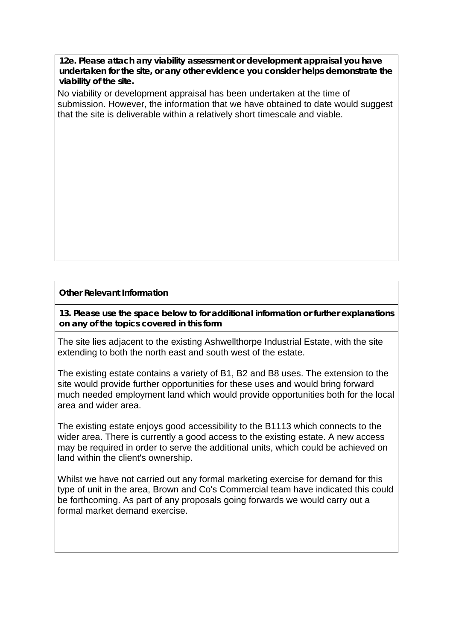**12e. Please attach any viability assessment or development appraisal you have undertaken for the site, or any other evidence you consider helps demonstrate the viability of the site.** 

No viability or development appraisal has been undertaken at the time of submission. However, the information that we have obtained to date would suggest that the site is deliverable within a relatively short timescale and viable.

# **Other Relevant Information**

**13. Please use the space below to for additional information or further explanations on any of the topics covered in this form**

The site lies adjacent to the existing Ashwellthorpe Industrial Estate, with the site extending to both the north east and south west of the estate.

The existing estate contains a variety of B1, B2 and B8 uses. The extension to the site would provide further opportunities for these uses and would bring forward much needed employment land which would provide opportunities both for the local area and wider area.

The existing estate enjoys good accessibility to the B1113 which connects to the wider area. There is currently a good access to the existing estate. A new access may be required in order to serve the additional units, which could be achieved on land within the client's ownership.

Whilst we have not carried out any formal marketing exercise for demand for this type of unit in the area, Brown and Co's Commercial team have indicated this could be forthcoming. As part of any proposals going forwards we would carry out a formal market demand exercise.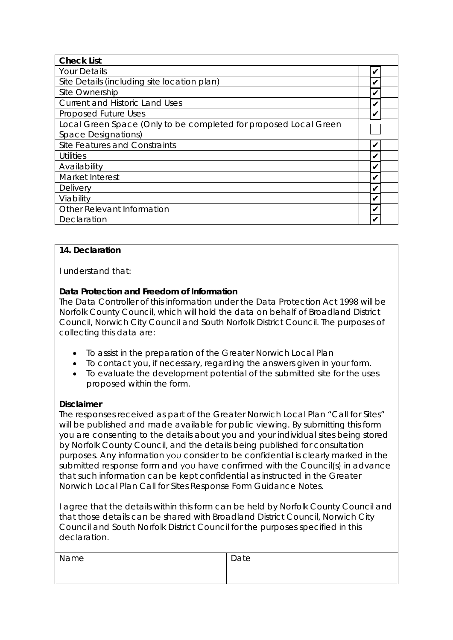| <b>Check List</b>                                                |  |
|------------------------------------------------------------------|--|
| <b>Your Details</b>                                              |  |
| Site Details (including site location plan)                      |  |
| Site Ownership                                                   |  |
| <b>Current and Historic Land Uses</b>                            |  |
| <b>Proposed Future Uses</b>                                      |  |
| Local Green Space (Only to be completed for proposed Local Green |  |
| Space Designations)                                              |  |
| Site Features and Constraints                                    |  |
| Utilities                                                        |  |
| Availability                                                     |  |
| Market Interest                                                  |  |
| <b>Delivery</b>                                                  |  |
| Viability                                                        |  |
| Other Relevant Information                                       |  |
| Declaration                                                      |  |

# **14. Declaration**

I understand that:

# **Data Protection and Freedom of Information**

The Data Controller of this information under the Data Protection Act 1998 will be Norfolk County Council, which will hold the data on behalf of Broadland District Council, Norwich City Council and South Norfolk District Council. The purposes of collecting this data are:

- To assist in the preparation of the Greater Norwich Local Plan
- To contact you, if necessary, regarding the answers given in your form.
- To evaluate the development potential of the submitted site for the uses proposed within the form.

# **Disclaimer**

The responses received as part of the Greater Norwich Local Plan "Call for Sites" will be published and made available for public viewing. By submitting this form you are consenting to the details about you and your individual sites being stored by Norfolk County Council, and the details being published for consultation purposes. Any information you consider to be confidential is clearly marked in the submitted response form and you have confirmed with the Council(s) in advance that such information can be kept confidential as instructed in the Greater Norwich Local Plan Call for Sites Response Form Guidance Notes.

I agree that the details within this form can be held by Norfolk County Council and that those details can be shared with Broadland District Council, Norwich City Council and South Norfolk District Council for the purposes specified in this declaration.

| Name | Date |
|------|------|
|      |      |